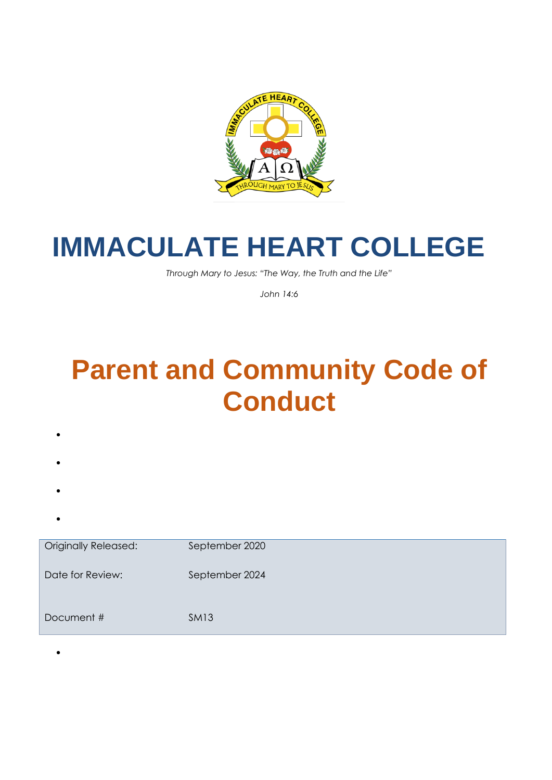

# **IMMACULATE HEART COLLEGE**

*Through Mary to Jesus: "The Way, the Truth and the Life"*

*John 14:6*

# **Parent and Community Code of Conduct**

- •
- •
- 
- •
- •

•

Originally Released: September 2020 Date for Review: September 2024 Document # SM13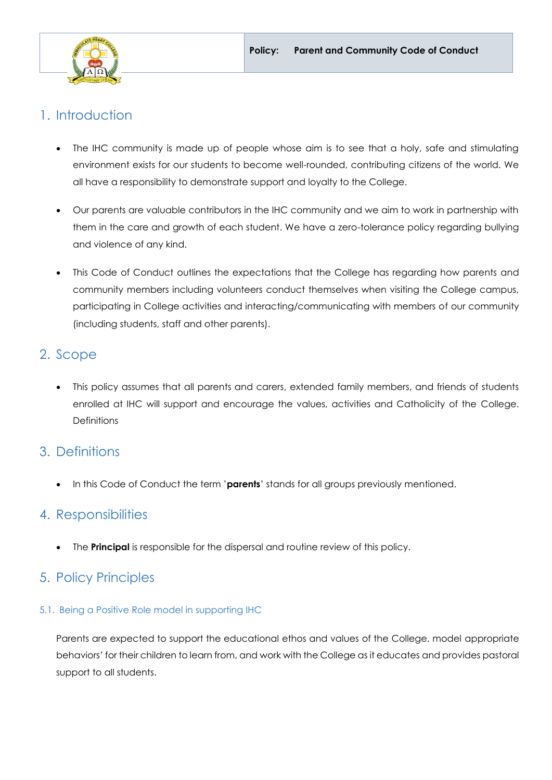

## 1. Introduction

- The IHC community is made up of people whose aim is to see that a holy, safe and stimulating environment exists for our students to become well-rounded, contributing citizens of the world. We all have a responsibility to demonstrate support and loyalty to the College.
- Our parents are valuable contributors in the IHC community and we aim to work in partnership with them in the care and growth of each student. We have a zero-tolerance policy regarding bullying and violence of any kind.
- This Code of Conduct outlines the expectations that the College has regarding how parents and community members including volunteers conduct themselves when visiting the College campus, participating in College activities and interacting/communicating with members of our community (including students, staff and other parents).

## 2. Scope

• This policy assumes that all parents and carers, extended family members, and friends of students enrolled at IHC will support and encourage the values, activities and Catholicity of the College. **Definitions** 

## 3. Definitions

• In this Code of Conduct the term '**parents**' stands for all groups previously mentioned.

## 4. Responsibilities

The **Principal** is responsible for the dispersal and routine review of this policy.

## 5. Policy Principles

## 5.1. Being a Positive Role model in supporting IHC

Parents are expected to support the educational ethos and values of the College, model appropriate behaviors' for their children to learn from, and work with the College as it educates and provides pastoral support to all students.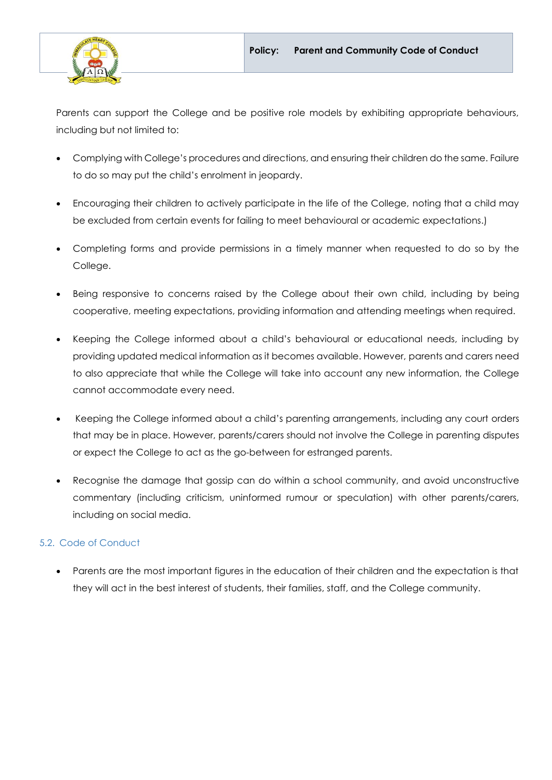

Parents can support the College and be positive role models by exhibiting appropriate behaviours, including but not limited to:

- Complying with College's procedures and directions, and ensuring their children do the same. Failure to do so may put the child's enrolment in jeopardy.
- Encouraging their children to actively participate in the life of the College, noting that a child may be excluded from certain events for failing to meet behavioural or academic expectations.)
- Completing forms and provide permissions in a timely manner when requested to do so by the College.
- Being responsive to concerns raised by the College about their own child, including by being cooperative, meeting expectations, providing information and attending meetings when required.
- Keeping the College informed about a child's behavioural or educational needs, including by providing updated medical information as it becomes available. However, parents and carers need to also appreciate that while the College will take into account any new information, the College cannot accommodate every need.
- Keeping the College informed about a child's parenting arrangements, including any court orders that may be in place. However, parents/carers should not involve the College in parenting disputes or expect the College to act as the go-between for estranged parents.
- Recognise the damage that gossip can do within a school community, and avoid unconstructive commentary (including criticism, uninformed rumour or speculation) with other parents/carers, including on social media.

## 5.2. Code of Conduct

• Parents are the most important figures in the education of their children and the expectation is that they will act in the best interest of students, their families, staff, and the College community.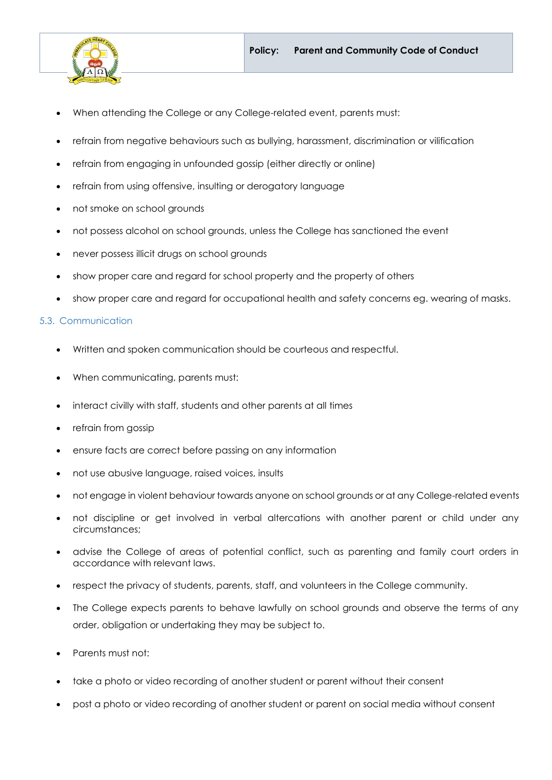

- When attending the College or any College-related event, parents must:
- refrain from negative behaviours such as bullying, harassment, discrimination or vilification
- refrain from engaging in unfounded gossip (either directly or online)
- refrain from using offensive, insulting or derogatory language
- not smoke on school grounds
- not possess alcohol on school grounds, unless the College has sanctioned the event
- never possess illicit drugs on school grounds
- show proper care and regard for school property and the property of others
- show proper care and regard for occupational health and safety concerns eg. wearing of masks.

#### 5.3. Communication

- Written and spoken communication should be courteous and respectful.
- When communicating, parents must:
- interact civilly with staff, students and other parents at all times
- refrain from gossip
- ensure facts are correct before passing on any information
- not use abusive language, raised voices, insults
- not engage in violent behaviour towards anyone on school grounds or at any College-related events
- not discipline or get involved in verbal altercations with another parent or child under any circumstances;
- advise the College of areas of potential conflict, such as parenting and family court orders in accordance with relevant laws.
- respect the privacy of students, parents, staff, and volunteers in the College community.
- The College expects parents to behave lawfully on school grounds and observe the terms of any order, obligation or undertaking they may be subject to.
- Parents must not:
- take a photo or video recording of another student or parent without their consent
- post a photo or video recording of another student or parent on social media without consent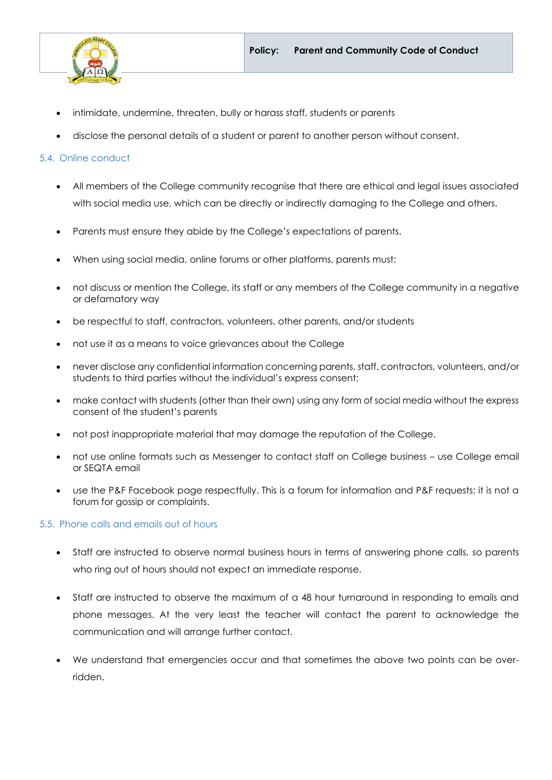

- intimidate, undermine, threaten, bully or harass staff, students or parents
- disclose the personal details of a student or parent to another person without consent.

#### 5.4. Online conduct

- All members of the College community recognise that there are ethical and legal issues associated with social media use, which can be directly or indirectly damaging to the College and others.
- Parents must ensure they abide by the College's expectations of parents.
- When using social media, online forums or other platforms, parents must:
- not discuss or mention the College, its staff or any members of the College community in a negative or defamatory way
- be respectful to staff, contractors, volunteers, other parents, and/or students
- not use it as a means to voice grievances about the College
- never disclose any confidential information concerning parents, staff, contractors, volunteers, and/or students to third parties without the individual's express consent;
- make contact with students (other than their own) using any form of social media without the express consent of the student's parents
- not post inappropriate material that may damage the reputation of the College.
- not use online formats such as Messenger to contact staff on College business use College email or SEQTA email
- use the P&F Facebook page respectfully. This is a forum for information and P&F requests; it is not a forum for gossip or complaints.

#### 5.5. Phone calls and emails out of hours

- Staff are instructed to observe normal business hours in terms of answering phone calls, so parents who ring out of hours should not expect an immediate response.
- Staff are instructed to observe the maximum of a 48 hour turnaround in responding to emails and phone messages. At the very least the teacher will contact the parent to acknowledge the communication and will arrange further contact.
- We understand that emergencies occur and that sometimes the above two points can be overridden.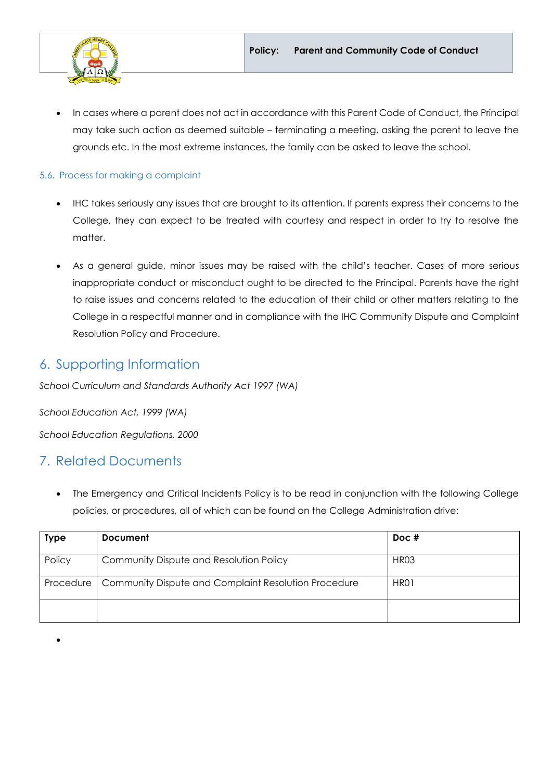

• In cases where a parent does not act in accordance with this Parent Code of Conduct, the Principal may take such action as deemed suitable – terminating a meeting, asking the parent to leave the grounds etc. In the most extreme instances, the family can be asked to leave the school.

### 5.6. Process for making a complaint

- IHC takes seriously any issues that are brought to its attention. If parents express their concerns to the College, they can expect to be treated with courtesy and respect in order to try to resolve the matter.
- As a general guide, minor issues may be raised with the child's teacher. Cases of more serious inappropriate conduct or misconduct ought to be directed to the Principal. Parents have the right to raise issues and concerns related to the education of their child or other matters relating to the College in a respectful manner and in compliance with the IHC Community Dispute and Complaint Resolution Policy and Procedure.

## 6. Supporting Information

*School Curriculum and Standards Authority Act 1997 (WA)*

*School Education Act, 1999 (WA)*

*School Education Regulations, 2000* 

## 7. Related Documents

•

The Emergency and Critical Incidents Policy is to be read in conjunction with the following College policies, or procedures, all of which can be found on the College Administration drive:

| Type      | <b>Document</b>                                      | $Doc$ #          |
|-----------|------------------------------------------------------|------------------|
| Policy    | Community Dispute and Resolution Policy              | HR <sub>03</sub> |
| Procedure | Community Dispute and Complaint Resolution Procedure | HR01             |
|           |                                                      |                  |